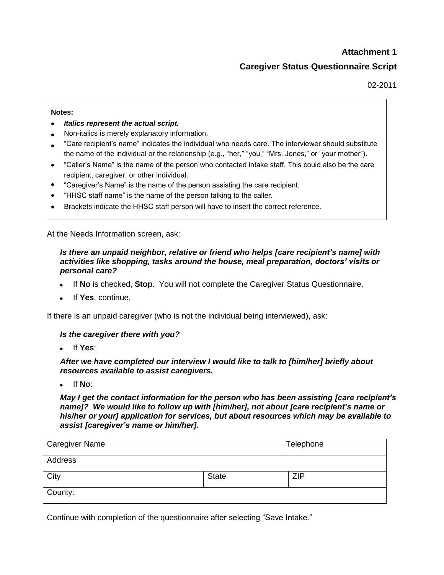# **Attachment 1 Caregiver Status Questionnaire Script**

02-2011

#### **Notes:**

- *Italics represent the actual script.*
- Non-italics is merely explanatory information.
- "Care recipient's name" indicates the individual who needs care. The interviewer should substitute the name of the individual or the relationship (e.g., "her," "you," "Mrs. Jones," or "your mother").
- "Caller's Name" is the name of the person who contacted intake staff. This could also be the care recipient, caregiver, or other individual.
- "Caregiver's Name" is the name of the person assisting the care recipient.
- "HHSC staff name" is the name of the person talking to the caller.
- Brackets indicate the HHSC staff person will have to insert the correct reference.

At the Needs Information screen, ask:

### *Is there an unpaid neighbor, relative or friend who helps [care recipient's name] with activities like shopping, tasks around the house, meal preparation, doctors' visits or personal care?*

- If **No** is checked, **Stop**. You will not complete the Caregiver Status Questionnaire.
- If **Yes**, continue.

If there is an unpaid caregiver (who is not the individual being interviewed), ask:

#### *Is the caregiver there with you?*

If **Yes**:

*After we have completed our interview I would like to talk to [him/her] briefly about resources available to assist caregivers.* 

If **No**:

*May I get the contact information for the person who has been assisting [care recipient's name]? We would like to follow up with [him/her], not about [care recipient's name or his/her or your] application for services, but about resources which may be available to assist [caregiver's name or him/her].* 

| <b>Caregiver Name</b> |              | Telephone  |
|-----------------------|--------------|------------|
| Address               |              |            |
| City                  | <b>State</b> | <b>ZIP</b> |
| County:               |              |            |

Continue with completion of the questionnaire after selecting "Save Intake."